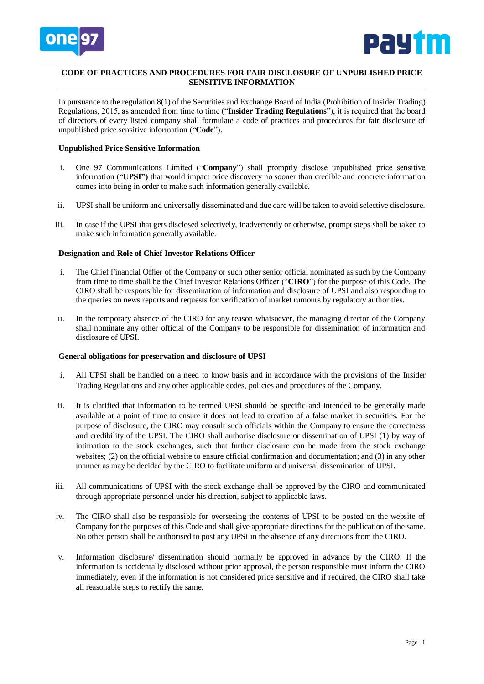



# **CODE OF PRACTICES AND PROCEDURES FOR FAIR DISCLOSURE OF UNPUBLISHED PRICE SENSITIVE INFORMATION**

In pursuance to the regulation 8(1) of the Securities and Exchange Board of India (Prohibition of Insider Trading) Regulations, 2015, as amended from time to time ("**Insider Trading Regulations**"), it is required that the board of directors of every listed company shall formulate a code of practices and procedures for fair disclosure of unpublished price sensitive information ("**Code**").

## **Unpublished Price Sensitive Information**

- i. One 97 Communications Limited ("**Company**") shall promptly disclose unpublished price sensitive information ("**UPSI")** that would impact price discovery no sooner than credible and concrete information comes into being in order to make such information generally available.
- ii. UPSI shall be uniform and universally disseminated and due care will be taken to avoid selective disclosure.
- iii. In case if the UPSI that gets disclosed selectively, inadvertently or otherwise, prompt steps shall be taken to make such information generally available.

## **Designation and Role of Chief Investor Relations Officer**

- i. The Chief Financial Offier of the Company or such other senior official nominated as such by the Company from time to time shall be the Chief Investor Relations Officer ("**CIRO**") for the purpose of this Code. The CIRO shall be responsible for dissemination of information and disclosure of UPSI and also responding to the queries on news reports and requests for verification of market rumours by regulatory authorities.
- ii. In the temporary absence of the CIRO for any reason whatsoever, the managing director of the Company shall nominate any other official of the Company to be responsible for dissemination of information and disclosure of UPSI.

#### **General obligations for preservation and disclosure of UPSI**

- i. All UPSI shall be handled on a need to know basis and in accordance with the provisions of the Insider Trading Regulations and any other applicable codes, policies and procedures of the Company.
- ii. It is clarified that information to be termed UPSI should be specific and intended to be generally made available at a point of time to ensure it does not lead to creation of a false market in securities. For the purpose of disclosure, the CIRO may consult such officials within the Company to ensure the correctness and credibility of the UPSI. The CIRO shall authorise disclosure or dissemination of UPSI (1) by way of intimation to the stock exchanges, such that further disclosure can be made from the stock exchange websites; (2) on the official website to ensure official confirmation and documentation; and (3) in any other manner as may be decided by the CIRO to facilitate uniform and universal dissemination of UPSI.
- iii. All communications of UPSI with the stock exchange shall be approved by the CIRO and communicated through appropriate personnel under his direction, subject to applicable laws.
- iv. The CIRO shall also be responsible for overseeing the contents of UPSI to be posted on the website of Company for the purposes of this Code and shall give appropriate directions for the publication of the same. No other person shall be authorised to post any UPSI in the absence of any directions from the CIRO.
- v. Information disclosure/ dissemination should normally be approved in advance by the CIRO. If the information is accidentally disclosed without prior approval, the person responsible must inform the CIRO immediately, even if the information is not considered price sensitive and if required, the CIRO shall take all reasonable steps to rectify the same.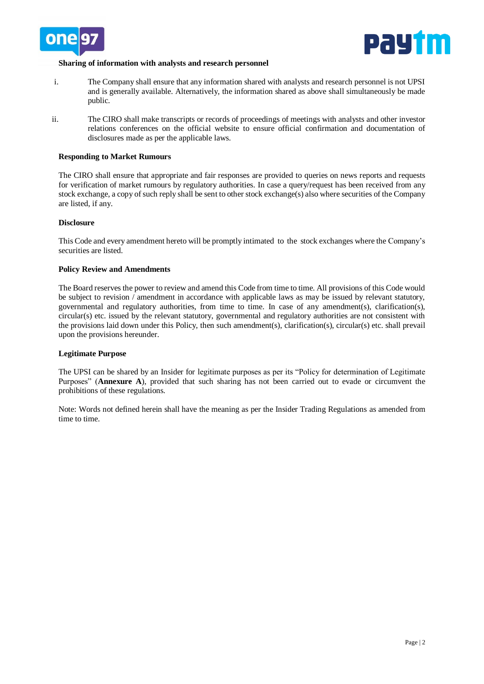



## **Sharing of information with analysts and research personnel**

- i. The Company shall ensure that any information shared with analysts and research personnel is not UPSI and is generally available. Alternatively, the information shared as above shall simultaneously be made public.
- ii. The CIRO shall make transcripts or records of proceedings of meetings with analysts and other investor relations conferences on the official website to ensure official confirmation and documentation of disclosures made as per the applicable laws.

### **Responding to Market Rumours**

The CIRO shall ensure that appropriate and fair responses are provided to queries on news reports and requests for verification of market rumours by regulatory authorities. In case a query/request has been received from any stock exchange, a copy of such reply shall be sent to other stock exchange(s) also where securities of the Company are listed, if any.

## **Disclosure**

This Code and every amendment hereto will be promptly intimated to the stock exchanges where the Company's securities are listed.

## **Policy Review and Amendments**

The Board reserves the power to review and amend this Code from time to time. All provisions of this Code would be subject to revision / amendment in accordance with applicable laws as may be issued by relevant statutory, governmental and regulatory authorities, from time to time. In case of any amendment(s), clarification(s), circular(s) etc. issued by the relevant statutory, governmental and regulatory authorities are not consistent with the provisions laid down under this Policy, then such amendment(s), clarification(s), circular(s) etc. shall prevail upon the provisions hereunder.

#### **Legitimate Purpose**

The UPSI can be shared by an Insider for legitimate purposes as per its "Policy for determination of Legitimate Purposes" (**Annexure A**), provided that such sharing has not been carried out to evade or circumvent the prohibitions of these regulations.

Note: Words not defined herein shall have the meaning as per the Insider Trading Regulations as amended from time to time.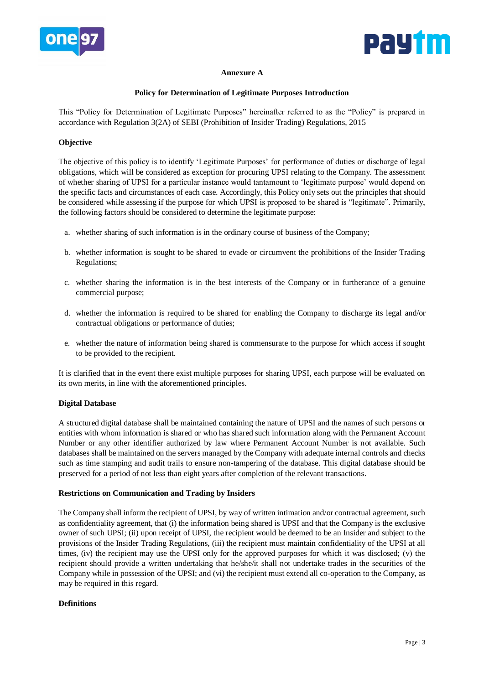



# **Annexure A**

# **Policy for Determination of Legitimate Purposes Introduction**

This "Policy for Determination of Legitimate Purposes" hereinafter referred to as the "Policy" is prepared in accordance with Regulation 3(2A) of SEBI (Prohibition of Insider Trading) Regulations, 2015

# **Objective**

The objective of this policy is to identify 'Legitimate Purposes' for performance of duties or discharge of legal obligations, which will be considered as exception for procuring UPSI relating to the Company. The assessment of whether sharing of UPSI for a particular instance would tantamount to 'legitimate purpose' would depend on the specific facts and circumstances of each case. Accordingly, this Policy only sets out the principles that should be considered while assessing if the purpose for which UPSI is proposed to be shared is "legitimate". Primarily, the following factors should be considered to determine the legitimate purpose:

- a. whether sharing of such information is in the ordinary course of business of the Company;
- b. whether information is sought to be shared to evade or circumvent the prohibitions of the Insider Trading Regulations;
- c. whether sharing the information is in the best interests of the Company or in furtherance of a genuine commercial purpose;
- d. whether the information is required to be shared for enabling the Company to discharge its legal and/or contractual obligations or performance of duties;
- e. whether the nature of information being shared is commensurate to the purpose for which access if sought to be provided to the recipient.

It is clarified that in the event there exist multiple purposes for sharing UPSI, each purpose will be evaluated on its own merits, in line with the aforementioned principles.

# **Digital Database**

A structured digital database shall be maintained containing the nature of UPSI and the names of such persons or entities with whom information is shared or who has shared such information along with the Permanent Account Number or any other identifier authorized by law where Permanent Account Number is not available. Such databases shall be maintained on the servers managed by the Company with adequate internal controls and checks such as time stamping and audit trails to ensure non-tampering of the database. This digital database should be preserved for a period of not less than eight years after completion of the relevant transactions.

# **Restrictions on Communication and Trading by Insiders**

The Company shall inform the recipient of UPSI, by way of written intimation and/or contractual agreement, such as confidentiality agreement, that (i) the information being shared is UPSI and that the Company is the exclusive owner of such UPSI; (ii) upon receipt of UPSI, the recipient would be deemed to be an Insider and subject to the provisions of the Insider Trading Regulations, (iii) the recipient must maintain confidentiality of the UPSI at all times, (iv) the recipient may use the UPSI only for the approved purposes for which it was disclosed; (v) the recipient should provide a written undertaking that he/she/it shall not undertake trades in the securities of the Company while in possession of the UPSI; and (vi) the recipient must extend all co-operation to the Company, as may be required in this regard.

# **Definitions**